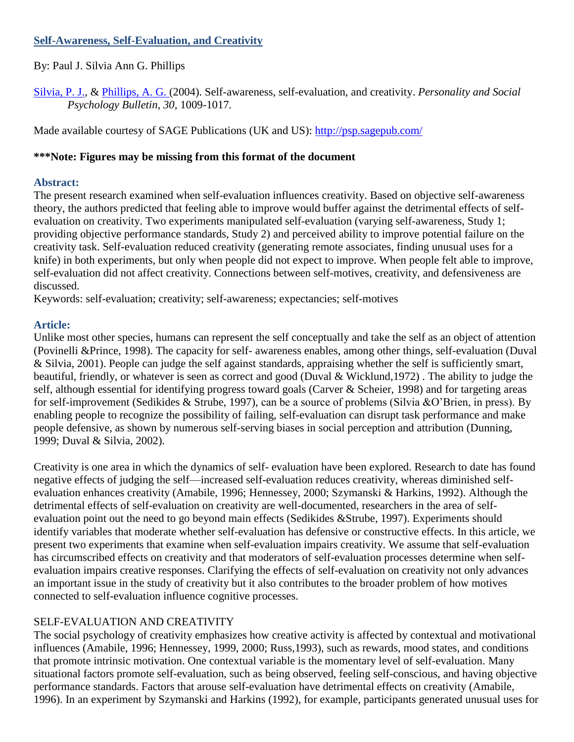## **Self-Awareness, Self-Evaluation, and Creativity**

By: Paul J. Silvia Ann G. Phillips

[Silvia, P. J.,](http://libres.uncg.edu/ir/uncg/clist.aspx?id=402) & [Phillips, A. G. \(](http://libres.uncg.edu/ir/uncg/clist.aspx?id=543)2004). Self-awareness, self-evaluation, and creativity. *Personality and Social Psychology Bulletin, 30,* 1009-1017*.*

Made available courtesy of SAGE Publications (UK and US):<http://psp.sagepub.com/>

## **\*\*\*Note: Figures may be missing from this format of the document**

## **Abstract:**

The present research examined when self-evaluation influences creativity. Based on objective self-awareness theory, the authors predicted that feeling able to improve would buffer against the detrimental effects of selfevaluation on creativity. Two experiments manipulated self-evaluation (varying self-awareness, Study 1; providing objective performance standards, Study 2) and perceived ability to improve potential failure on the creativity task. Self-evaluation reduced creativity (generating remote associates, finding unusual uses for a knife) in both experiments, but only when people did not expect to improve. When people felt able to improve, self-evaluation did not affect creativity. Connections between self-motives, creativity, and defensiveness are discussed.

Keywords: self-evaluation; creativity; self-awareness; expectancies; self-motives

# **Article:**

Unlike most other species, humans can represent the self conceptually and take the self as an object of attention (Povinelli &Prince, 1998). The capacity for self- awareness enables, among other things, self-evaluation (Duval & Silvia, 2001). People can judge the self against standards, appraising whether the self is sufficiently smart, beautiful, friendly, or whatever is seen as correct and good (Duval & Wicklund,1972) . The ability to judge the self, although essential for identifying progress toward goals (Carver & Scheier, 1998) and for targeting areas for self-improvement (Sedikides & Strube, 1997), can be a source of problems (Silvia &O'Brien, in press). By enabling people to recognize the possibility of failing, self-evaluation can disrupt task performance and make people defensive, as shown by numerous self-serving biases in social perception and attribution (Dunning, 1999; Duval & Silvia, 2002).

Creativity is one area in which the dynamics of self- evaluation have been explored. Research to date has found negative effects of judging the self—increased self-evaluation reduces creativity, whereas diminished selfevaluation enhances creativity (Amabile, 1996; Hennessey, 2000; Szymanski & Harkins, 1992). Although the detrimental effects of self-evaluation on creativity are well-documented, researchers in the area of selfevaluation point out the need to go beyond main effects (Sedikides &Strube, 1997). Experiments should identify variables that moderate whether self-evaluation has defensive or constructive effects. In this article, we present two experiments that examine when self-evaluation impairs creativity. We assume that self-evaluation has circumscribed effects on creativity and that moderators of self-evaluation processes determine when selfevaluation impairs creative responses. Clarifying the effects of self-evaluation on creativity not only advances an important issue in the study of creativity but it also contributes to the broader problem of how motives connected to self-evaluation influence cognitive processes.

# SELF-EVALUATION AND CREATIVITY

The social psychology of creativity emphasizes how creative activity is affected by contextual and motivational influences (Amabile, 1996; Hennessey, 1999, 2000; Russ,1993), such as rewards, mood states, and conditions that promote intrinsic motivation. One contextual variable is the momentary level of self-evaluation. Many situational factors promote self-evaluation, such as being observed, feeling self-conscious, and having objective performance standards. Factors that arouse self-evaluation have detrimental effects on creativity (Amabile, 1996). In an experiment by Szymanski and Harkins (1992), for example, participants generated unusual uses for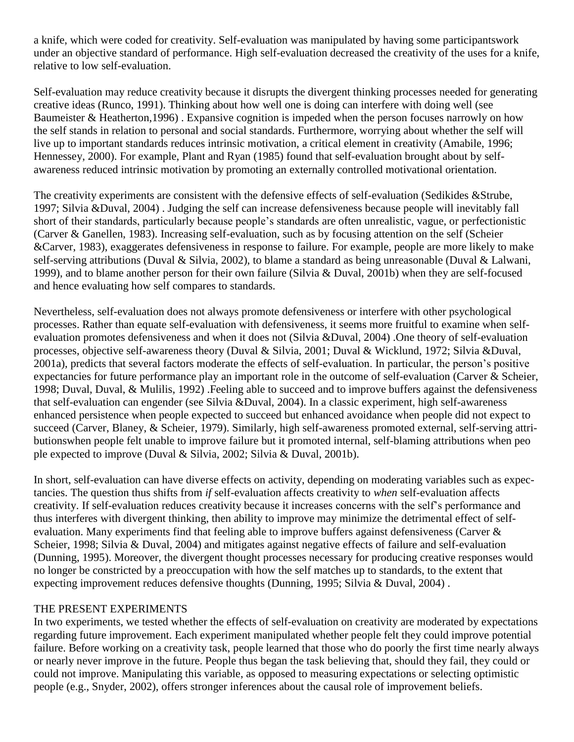a knife, which were coded for creativity. Self-evaluation was manipulated by having some participantswork under an objective standard of performance. High self-evaluation decreased the creativity of the uses for a knife, relative to low self-evaluation.

Self-evaluation may reduce creativity because it disrupts the divergent thinking processes needed for generating creative ideas (Runco, 1991). Thinking about how well one is doing can interfere with doing well (see Baumeister & Heatherton,1996) . Expansive cognition is impeded when the person focuses narrowly on how the self stands in relation to personal and social standards. Furthermore, worrying about whether the self will live up to important standards reduces intrinsic motivation, a critical element in creativity (Amabile, 1996; Hennessey, 2000). For example, Plant and Ryan (1985) found that self-evaluation brought about by selfawareness reduced intrinsic motivation by promoting an externally controlled motivational orientation.

The creativity experiments are consistent with the defensive effects of self-evaluation (Sedikides &Strube, 1997; Silvia &Duval, 2004) . Judging the self can increase defensiveness because people will inevitably fall short of their standards, particularly because people's standards are often unrealistic, vague, or perfectionistic (Carver & Ganellen, 1983). Increasing self-evaluation, such as by focusing attention on the self (Scheier &Carver, 1983), exaggerates defensiveness in response to failure. For example, people are more likely to make self-serving attributions (Duval & Silvia, 2002), to blame a standard as being unreasonable (Duval & Lalwani, 1999), and to blame another person for their own failure (Silvia & Duval, 2001b) when they are self-focused and hence evaluating how self compares to standards.

Nevertheless, self-evaluation does not always promote defensiveness or interfere with other psychological processes. Rather than equate self-evaluation with defensiveness, it seems more fruitful to examine when selfevaluation promotes defensiveness and when it does not (Silvia &Duval, 2004) .One theory of self-evaluation processes, objective self-awareness theory (Duval & Silvia, 2001; Duval & Wicklund, 1972; Silvia &Duval, 2001a), predicts that several factors moderate the effects of self-evaluation. In particular, the person's positive expectancies for future performance play an important role in the outcome of self-evaluation (Carver & Scheier, 1998; Duval, Duval, & Mulilis, 1992) .Feeling able to succeed and to improve buffers against the defensiveness that self-evaluation can engender (see Silvia &Duval, 2004). In a classic experiment, high self-awareness enhanced persistence when people expected to succeed but enhanced avoidance when people did not expect to succeed (Carver, Blaney, & Scheier, 1979). Similarly, high self-awareness promoted external, self-serving attributionswhen people felt unable to improve failure but it promoted internal, self-blaming attributions when peo ple expected to improve (Duval & Silvia, 2002; Silvia & Duval, 2001b).

In short, self-evaluation can have diverse effects on activity, depending on moderating variables such as expectancies. The question thus shifts from *if* self-evaluation affects creativity to *when* self-evaluation affects creativity. If self-evaluation reduces creativity because it increases concerns with the self's performance and thus interferes with divergent thinking, then ability to improve may minimize the detrimental effect of selfevaluation. Many experiments find that feeling able to improve buffers against defensiveness (Carver & Scheier, 1998; Silvia & Duval, 2004) and mitigates against negative effects of failure and self-evaluation (Dunning, 1995). Moreover, the divergent thought processes necessary for producing creative responses would no longer be constricted by a preoccupation with how the self matches up to standards, to the extent that expecting improvement reduces defensive thoughts (Dunning, 1995; Silvia & Duval, 2004) .

## THE PRESENT EXPERIMENTS

In two experiments, we tested whether the effects of self-evaluation on creativity are moderated by expectations regarding future improvement. Each experiment manipulated whether people felt they could improve potential failure. Before working on a creativity task, people learned that those who do poorly the first time nearly always or nearly never improve in the future. People thus began the task believing that, should they fail, they could or could not improve. Manipulating this variable, as opposed to measuring expectations or selecting optimistic people (e.g., Snyder, 2002), offers stronger inferences about the causal role of improvement beliefs.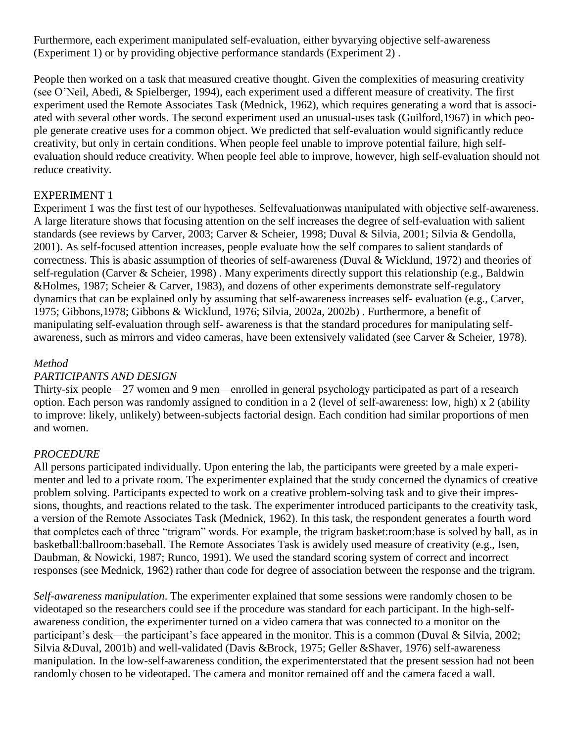Furthermore, each experiment manipulated self-evaluation, either byvarying objective self-awareness (Experiment 1) or by providing objective performance standards (Experiment 2) .

People then worked on a task that measured creative thought. Given the complexities of measuring creativity (see O'Neil, Abedi, & Spielberger, 1994), each experiment used a different measure of creativity. The first experiment used the Remote Associates Task (Mednick, 1962), which requires generating a word that is associated with several other words. The second experiment used an unusual-uses task (Guilford,1967) in which people generate creative uses for a common object. We predicted that self-evaluation would significantly reduce creativity, but only in certain conditions. When people feel unable to improve potential failure, high selfevaluation should reduce creativity. When people feel able to improve, however, high self-evaluation should not reduce creativity.

# EXPERIMENT 1

Experiment 1 was the first test of our hypotheses. Selfevaluationwas manipulated with objective self-awareness. A large literature shows that focusing attention on the self increases the degree of self-evaluation with salient standards (see reviews by Carver, 2003; Carver & Scheier, 1998; Duval & Silvia, 2001; Silvia & Gendolla, 2001). As self-focused attention increases, people evaluate how the self compares to salient standards of correctness. This is abasic assumption of theories of self-awareness (Duval & Wicklund, 1972) and theories of self-regulation (Carver & Scheier, 1998) . Many experiments directly support this relationship (e.g., Baldwin &Holmes, 1987; Scheier & Carver, 1983), and dozens of other experiments demonstrate self-regulatory dynamics that can be explained only by assuming that self-awareness increases self- evaluation (e.g., Carver, 1975; Gibbons,1978; Gibbons & Wicklund, 1976; Silvia, 2002a, 2002b) . Furthermore, a benefit of manipulating self-evaluation through self- awareness is that the standard procedures for manipulating selfawareness, such as mirrors and video cameras, have been extensively validated (see Carver & Scheier, 1978).

## *Method*

## *PARTICIPANTS AND DESIGN*

Thirty-six people—27 women and 9 men—enrolled in general psychology participated as part of a research option. Each person was randomly assigned to condition in a 2 (level of self-awareness: low, high) x 2 (ability to improve: likely, unlikely) between-subjects factorial design. Each condition had similar proportions of men and women.

# *PROCEDURE*

All persons participated individually. Upon entering the lab, the participants were greeted by a male experimenter and led to a private room. The experimenter explained that the study concerned the dynamics of creative problem solving. Participants expected to work on a creative problem-solving task and to give their impressions, thoughts, and reactions related to the task. The experimenter introduced participants to the creativity task, a version of the Remote Associates Task (Mednick, 1962). In this task, the respondent generates a fourth word that completes each of three "trigram" words. For example, the trigram basket:room:base is solved by ball, as in basketball:ballroom:baseball. The Remote Associates Task is awidely used measure of creativity (e.g., Isen, Daubman, & Nowicki, 1987; Runco, 1991). We used the standard scoring system of correct and incorrect responses (see Mednick, 1962) rather than code for degree of association between the response and the trigram.

*Self-awareness manipulation*. The experimenter explained that some sessions were randomly chosen to be videotaped so the researchers could see if the procedure was standard for each participant. In the high-selfawareness condition, the experimenter turned on a video camera that was connected to a monitor on the participant's desk—the participant's face appeared in the monitor. This is a common (Duval & Silvia, 2002; Silvia &Duval, 2001b) and well-validated (Davis &Brock, 1975; Geller &Shaver, 1976) self-awareness manipulation. In the low-self-awareness condition, the experimenterstated that the present session had not been randomly chosen to be videotaped. The camera and monitor remained off and the camera faced a wall.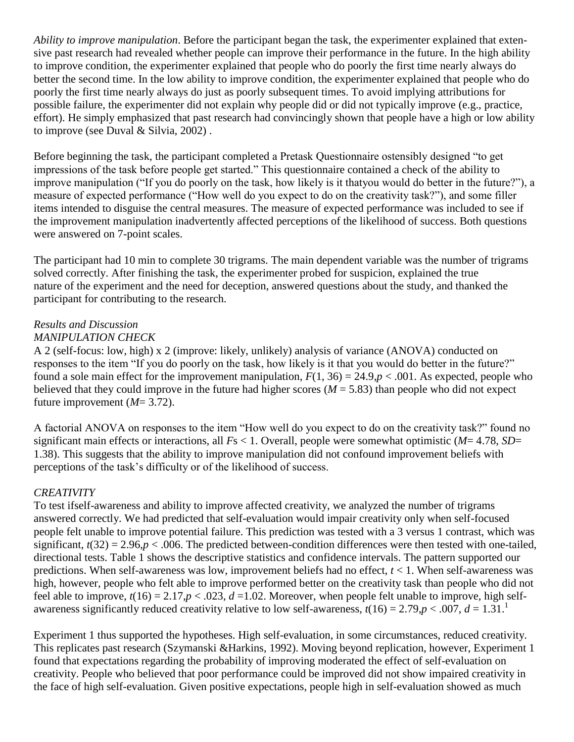*Ability to improve manipulation*. Before the participant began the task, the experimenter explained that extensive past research had revealed whether people can improve their performance in the future. In the high ability to improve condition, the experimenter explained that people who do poorly the first time nearly always do better the second time. In the low ability to improve condition, the experimenter explained that people who do poorly the first time nearly always do just as poorly subsequent times. To avoid implying attributions for possible failure, the experimenter did not explain why people did or did not typically improve (e.g., practice, effort). He simply emphasized that past research had convincingly shown that people have a high or low ability to improve (see Duval & Silvia, 2002) .

Before beginning the task, the participant completed a Pretask Questionnaire ostensibly designed "to get impressions of the task before people get started." This questionnaire contained a check of the ability to improve manipulation ("If you do poorly on the task, how likely is it thatyou would do better in the future?"), a measure of expected performance ("How well do you expect to do on the creativity task?"), and some filler items intended to disguise the central measures. The measure of expected performance was included to see if the improvement manipulation inadvertently affected perceptions of the likelihood of success. Both questions were answered on 7-point scales.

The participant had 10 min to complete 30 trigrams. The main dependent variable was the number of trigrams solved correctly. After finishing the task, the experimenter probed for suspicion, explained the true nature of the experiment and the need for deception, answered questions about the study, and thanked the participant for contributing to the research.

## *Results and Discussion*

#### *MANIPULATION CHECK*

A 2 (self-focus: low, high) x 2 (improve: likely, unlikely) analysis of variance (ANOVA) conducted on responses to the item "If you do poorly on the task, how likely is it that you would do better in the future?" found a sole main effect for the improvement manipulation,  $F(1, 36) = 24.9, p < .001$ . As expected, people who believed that they could improve in the future had higher scores ( $M = 5.83$ ) than people who did not expect future improvement (*M*= 3.72).

A factorial ANOVA on responses to the item "How well do you expect to do on the creativity task?" found no significant main effects or interactions, all *F*s < 1. Overall, people were somewhat optimistic (*M*= 4.78, *SD*= 1.38). This suggests that the ability to improve manipulation did not confound improvement beliefs with perceptions of the task's difficulty or of the likelihood of success.

## *CREATIVITY*

To test ifself-awareness and ability to improve affected creativity, we analyzed the number of trigrams answered correctly. We had predicted that self-evaluation would impair creativity only when self-focused people felt unable to improve potential failure. This prediction was tested with a 3 versus 1 contrast, which was significant,  $t(32) = 2.96$ ,  $p < .006$ . The predicted between-condition differences were then tested with one-tailed, directional tests. Table 1 shows the descriptive statistics and confidence intervals. The pattern supported our predictions. When self-awareness was low, improvement beliefs had no effect, *t* < 1. When self-awareness was high, however, people who felt able to improve performed better on the creativity task than people who did not feel able to improve,  $t(16) = 2.17, p < 0.023, d = 1.02$ . Moreover, when people felt unable to improve, high selfawareness significantly reduced creativity relative to low self-awareness,  $t(16) = 2.79, p < .007, d = 1.31$ .<sup>1</sup>

Experiment 1 thus supported the hypotheses. High self-evaluation, in some circumstances, reduced creativity. This replicates past research (Szymanski &Harkins, 1992). Moving beyond replication, however, Experiment 1 found that expectations regarding the probability of improving moderated the effect of self-evaluation on creativity. People who believed that poor performance could be improved did not show impaired creativity in the face of high self-evaluation. Given positive expectations, people high in self-evaluation showed as much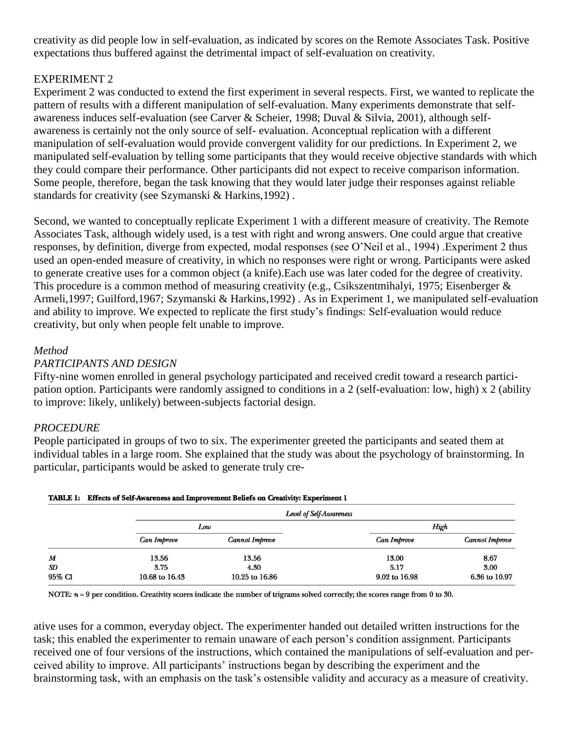creativity as did people low in self-evaluation, as indicated by scores on the Remote Associates Task. Positive expectations thus buffered against the detrimental impact of self-evaluation on creativity.

## EXPERIMENT 2

Experiment 2 was conducted to extend the first experiment in several respects. First, we wanted to replicate the pattern of results with a different manipulation of self-evaluation. Many experiments demonstrate that selfawareness induces self-evaluation (see Carver & Scheier, 1998; Duval & Silvia, 2001), although selfawareness is certainly not the only source of self- evaluation. Aconceptual replication with a different manipulation of self-evaluation would provide convergent validity for our predictions. In Experiment 2, we manipulated self-evaluation by telling some participants that they would receive objective standards with which they could compare their performance. Other participants did not expect to receive comparison information. Some people, therefore, began the task knowing that they would later judge their responses against reliable standards for creativity (see Szymanski & Harkins,1992) .

Second, we wanted to conceptually replicate Experiment 1 with a different measure of creativity. The Remote Associates Task, although widely used, is a test with right and wrong answers. One could argue that creative responses, by definition, diverge from expected, modal responses (see O'Neil et al., 1994) .Experiment 2 thus used an open-ended measure of creativity, in which no responses were right or wrong. Participants were asked to generate creative uses for a common object (a knife).Each use was later coded for the degree of creativity. This procedure is a common method of measuring creativity (e.g., Csikszentmihalyi, 1975; Eisenberger & Armeli,1997; Guilford,1967; Szymanski & Harkins,1992) . As in Experiment 1, we manipulated self-evaluation and ability to improve. We expected to replicate the first study's findings: Self-evaluation would reduce creativity, but only when people felt unable to improve.

## *Method*

## *PARTICIPANTS AND DESIGN*

Fifty-nine women enrolled in general psychology participated and received credit toward a research participation option. Participants were randomly assigned to conditions in a 2 (self-evaluation: low, high) x 2 (ability to improve: likely, unlikely) between-subjects factorial design.

# *PROCEDURE*

People participated in groups of two to six. The experimenter greeted the participants and seated them at individual tables in a large room. She explained that the study was about the psychology of brainstorming. In particular, participants would be asked to generate truly cre-

|        |                | Level of Self-Awareness |               |                       |  |  |
|--------|----------------|-------------------------|---------------|-----------------------|--|--|
|        | Low            |                         | High          |                       |  |  |
|        | Can Improve    | <b>Cannot Improve</b>   | Can Improve   | <b>Cannot Improve</b> |  |  |
| M      | 13.56          | 13.56                   | 13.00         | 8.67                  |  |  |
| SD     | 3.75           | 4.30                    | 5.17          | 3.00                  |  |  |
| 95% CI | 10.68 to 16.43 | 10.25 to 16.86          | 9.02 to 16.98 | 6.36 to 10.97         |  |  |

| TABLE 1: Effects of Self-Awareness and Improvement Beliefs on Creativity: Experiment 1 |  |
|----------------------------------------------------------------------------------------|--|
|                                                                                        |  |

NOTE:  $n = 9$  per condition. Creativity scores indicate the number of trigrams solved correctly; the scores range from 0 to 30.

ative uses for a common, everyday object. The experimenter handed out detailed written instructions for the task; this enabled the experimenter to remain unaware of each person's condition assignment. Participants received one of four versions of the instructions, which contained the manipulations of self-evaluation and perceived ability to improve. All participants' instructions began by describing the experiment and the brainstorming task, with an emphasis on the task's ostensible validity and accuracy as a measure of creativity.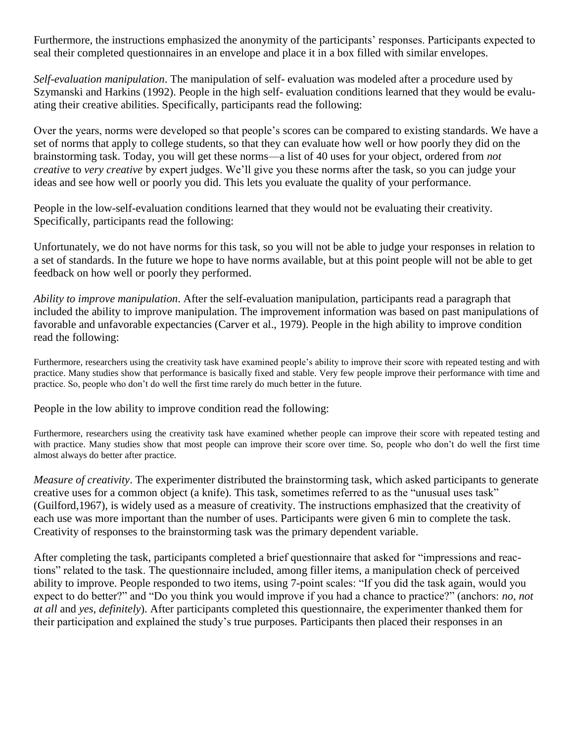Furthermore, the instructions emphasized the anonymity of the participants' responses. Participants expected to seal their completed questionnaires in an envelope and place it in a box filled with similar envelopes.

*Self-evaluation manipulation*. The manipulation of self- evaluation was modeled after a procedure used by Szymanski and Harkins (1992). People in the high self- evaluation conditions learned that they would be evaluating their creative abilities. Specifically, participants read the following:

Over the years, norms were developed so that people's scores can be compared to existing standards. We have a set of norms that apply to college students, so that they can evaluate how well or how poorly they did on the brainstorming task. Today, you will get these norms—a list of 40 uses for your object, ordered from *not creative* to *very creative* by expert judges. We'll give you these norms after the task, so you can judge your ideas and see how well or poorly you did. This lets you evaluate the quality of your performance.

People in the low-self-evaluation conditions learned that they would not be evaluating their creativity. Specifically, participants read the following:

Unfortunately, we do not have norms for this task, so you will not be able to judge your responses in relation to a set of standards. In the future we hope to have norms available, but at this point people will not be able to get feedback on how well or poorly they performed.

*Ability to improve manipulation*. After the self-evaluation manipulation, participants read a paragraph that included the ability to improve manipulation. The improvement information was based on past manipulations of favorable and unfavorable expectancies (Carver et al., 1979). People in the high ability to improve condition read the following:

Furthermore, researchers using the creativity task have examined people's ability to improve their score with repeated testing and with practice. Many studies show that performance is basically fixed and stable. Very few people improve their performance with time and practice. So, people who don't do well the first time rarely do much better in the future.

People in the low ability to improve condition read the following:

Furthermore, researchers using the creativity task have examined whether people can improve their score with repeated testing and with practice. Many studies show that most people can improve their score over time. So, people who don't do well the first time almost always do better after practice.

*Measure of creativity*. The experimenter distributed the brainstorming task, which asked participants to generate creative uses for a common object (a knife). This task, sometimes referred to as the "unusual uses task" (Guilford,1967), is widely used as a measure of creativity. The instructions emphasized that the creativity of each use was more important than the number of uses. Participants were given 6 min to complete the task. Creativity of responses to the brainstorming task was the primary dependent variable.

After completing the task, participants completed a brief questionnaire that asked for "impressions and reactions" related to the task. The questionnaire included, among filler items, a manipulation check of perceived ability to improve. People responded to two items, using 7-point scales: "If you did the task again, would you expect to do better?" and "Do you think you would improve if you had a chance to practice?" (anchors: *no, not at all* and *yes, definitely*). After participants completed this questionnaire, the experimenter thanked them for their participation and explained the study's true purposes. Participants then placed their responses in an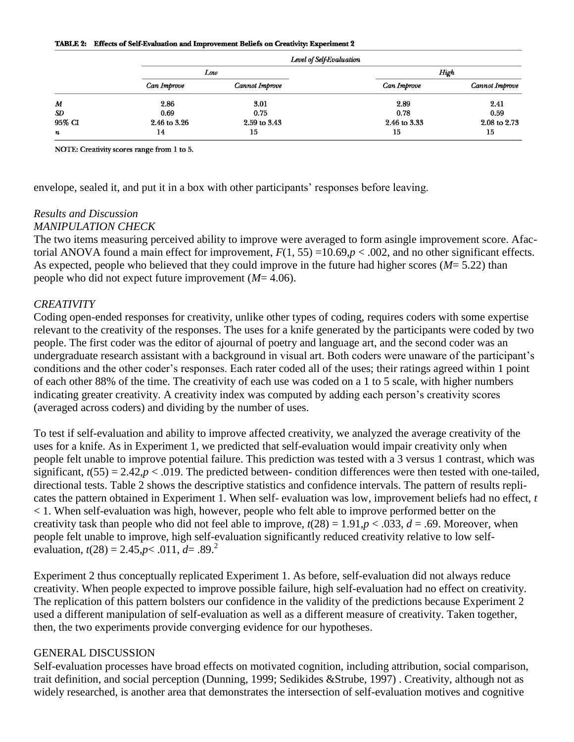|        | Level of Self-Evaluation |                       |              |                |  |
|--------|--------------------------|-----------------------|--------------|----------------|--|
|        | Low                      |                       | High         |                |  |
|        | Can Improve              | <b>Cannot Improve</b> | Can Improve  | Cannot Improve |  |
| M      | 2.86                     | 3.01                  | 2.89         | 2.41           |  |
| SD     | 0.69                     | 0.75                  | 0.78         | 0.59           |  |
| 95% CI | 2.46 to 3.26             | 2.59 to 3.43          | 2.46 to 3.33 | 2.08 to 2.73   |  |
| n      | 14                       | 15                    | 15           | 15             |  |

NOTE: Creativity scores range from 1 to 5.

envelope, sealed it, and put it in a box with other participants' responses before leaving.

#### *Results and Discussion MANIPULATION CHECK*

The two items measuring perceived ability to improve were averaged to form asingle improvement score. Afactorial ANOVA found a main effect for improvement,  $F(1, 55) = 10.69$ ,  $p < .002$ , and no other significant effects. As expected, people who believed that they could improve in the future had higher scores (*M*= 5.22) than people who did not expect future improvement (*M*= 4.06).

#### *CREATIVITY*

Coding open-ended responses for creativity, unlike other types of coding, requires coders with some expertise relevant to the creativity of the responses. The uses for a knife generated by the participants were coded by two people. The first coder was the editor of ajournal of poetry and language art, and the second coder was an undergraduate research assistant with a background in visual art. Both coders were unaware of the participant's conditions and the other coder's responses. Each rater coded all of the uses; their ratings agreed within 1 point of each other 88% of the time. The creativity of each use was coded on a 1 to 5 scale, with higher numbers indicating greater creativity. A creativity index was computed by adding each person's creativity scores (averaged across coders) and dividing by the number of uses.

To test if self-evaluation and ability to improve affected creativity, we analyzed the average creativity of the uses for a knife. As in Experiment 1, we predicted that self-evaluation would impair creativity only when people felt unable to improve potential failure. This prediction was tested with a 3 versus 1 contrast, which was significant,  $t(55) = 2.42$ ,  $p < .019$ . The predicted between- condition differences were then tested with one-tailed, directional tests. Table 2 shows the descriptive statistics and confidence intervals. The pattern of results replicates the pattern obtained in Experiment 1. When self- evaluation was low, improvement beliefs had no effect, *t* < 1. When self-evaluation was high, however, people who felt able to improve performed better on the creativity task than people who did not feel able to improve,  $t(28) = 1.91, p < .033, d = .69$ . Moreover, when people felt unable to improve, high self-evaluation significantly reduced creativity relative to low selfevaluation,  $t(28) = 2.45, p < .011, d = .89<sup>2</sup>$ 

Experiment 2 thus conceptually replicated Experiment 1. As before, self-evaluation did not always reduce creativity. When people expected to improve possible failure, high self-evaluation had no effect on creativity. The replication of this pattern bolsters our confidence in the validity of the predictions because Experiment 2 used a different manipulation of self-evaluation as well as a different measure of creativity. Taken together, then, the two experiments provide converging evidence for our hypotheses.

#### GENERAL DISCUSSION

Self-evaluation processes have broad effects on motivated cognition, including attribution, social comparison, trait definition, and social perception (Dunning, 1999; Sedikides &Strube, 1997) . Creativity, although not as widely researched, is another area that demonstrates the intersection of self-evaluation motives and cognitive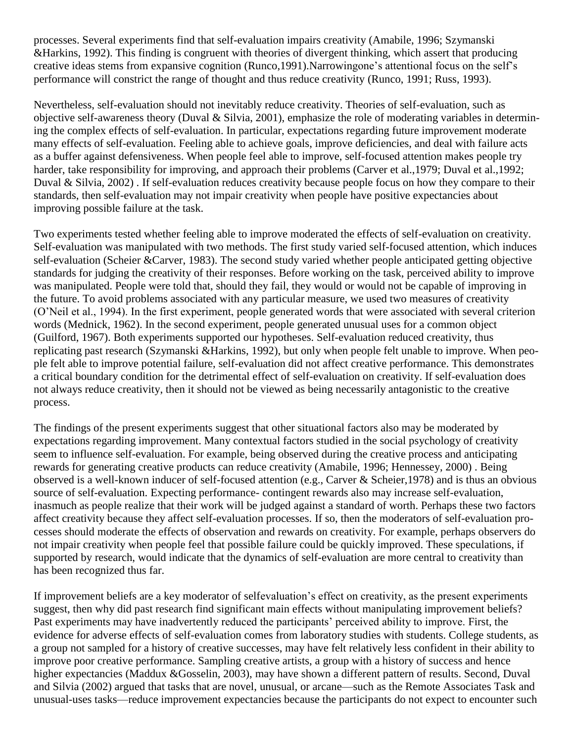processes. Several experiments find that self-evaluation impairs creativity (Amabile, 1996; Szymanski &Harkins, 1992). This finding is congruent with theories of divergent thinking, which assert that producing creative ideas stems from expansive cognition (Runco,1991).Narrowingone's attentional focus on the self's performance will constrict the range of thought and thus reduce creativity (Runco, 1991; Russ, 1993).

Nevertheless, self-evaluation should not inevitably reduce creativity. Theories of self-evaluation, such as objective self-awareness theory (Duval & Silvia, 2001), emphasize the role of moderating variables in determining the complex effects of self-evaluation. In particular, expectations regarding future improvement moderate many effects of self-evaluation. Feeling able to achieve goals, improve deficiencies, and deal with failure acts as a buffer against defensiveness. When people feel able to improve, self-focused attention makes people try harder, take responsibility for improving, and approach their problems (Carver et al., 1979; Duval et al., 1992; Duval & Silvia, 2002) . If self-evaluation reduces creativity because people focus on how they compare to their standards, then self-evaluation may not impair creativity when people have positive expectancies about improving possible failure at the task.

Two experiments tested whether feeling able to improve moderated the effects of self-evaluation on creativity. Self-evaluation was manipulated with two methods. The first study varied self-focused attention, which induces self-evaluation (Scheier &Carver, 1983). The second study varied whether people anticipated getting objective standards for judging the creativity of their responses. Before working on the task, perceived ability to improve was manipulated. People were told that, should they fail, they would or would not be capable of improving in the future. To avoid problems associated with any particular measure, we used two measures of creativity (O'Neil et al., 1994). In the first experiment, people generated words that were associated with several criterion words (Mednick, 1962). In the second experiment, people generated unusual uses for a common object (Guilford, 1967). Both experiments supported our hypotheses. Self-evaluation reduced creativity, thus replicating past research (Szymanski &Harkins, 1992), but only when people felt unable to improve. When people felt able to improve potential failure, self-evaluation did not affect creative performance. This demonstrates a critical boundary condition for the detrimental effect of self-evaluation on creativity. If self-evaluation does not always reduce creativity, then it should not be viewed as being necessarily antagonistic to the creative process.

The findings of the present experiments suggest that other situational factors also may be moderated by expectations regarding improvement. Many contextual factors studied in the social psychology of creativity seem to influence self-evaluation. For example, being observed during the creative process and anticipating rewards for generating creative products can reduce creativity (Amabile, 1996; Hennessey, 2000) . Being observed is a well-known inducer of self-focused attention (e.g., Carver & Scheier,1978) and is thus an obvious source of self-evaluation. Expecting performance- contingent rewards also may increase self-evaluation, inasmuch as people realize that their work will be judged against a standard of worth. Perhaps these two factors affect creativity because they affect self-evaluation processes. If so, then the moderators of self-evaluation processes should moderate the effects of observation and rewards on creativity. For example, perhaps observers do not impair creativity when people feel that possible failure could be quickly improved. These speculations, if supported by research, would indicate that the dynamics of self-evaluation are more central to creativity than has been recognized thus far.

If improvement beliefs are a key moderator of selfevaluation's effect on creativity, as the present experiments suggest, then why did past research find significant main effects without manipulating improvement beliefs? Past experiments may have inadvertently reduced the participants' perceived ability to improve. First, the evidence for adverse effects of self-evaluation comes from laboratory studies with students. College students, as a group not sampled for a history of creative successes, may have felt relatively less confident in their ability to improve poor creative performance. Sampling creative artists, a group with a history of success and hence higher expectancies (Maddux &Gosselin, 2003), may have shown a different pattern of results. Second, Duval and Silvia (2002) argued that tasks that are novel, unusual, or arcane—such as the Remote Associates Task and unusual-uses tasks—reduce improvement expectancies because the participants do not expect to encounter such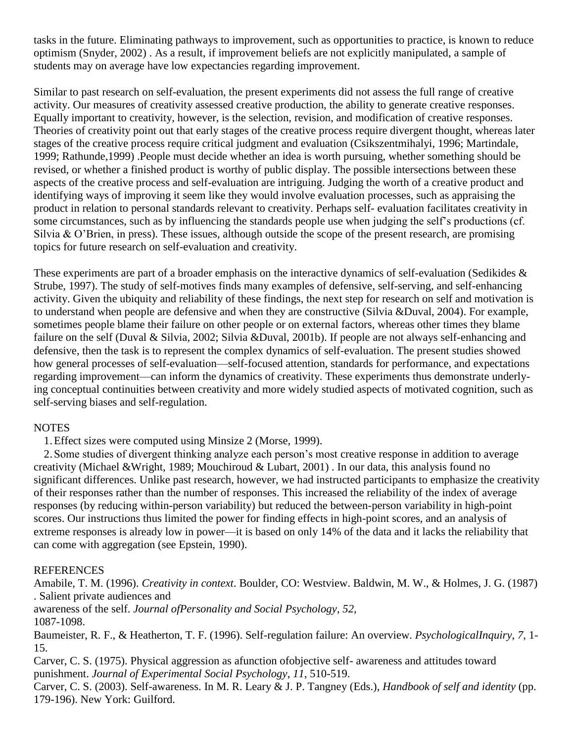tasks in the future. Eliminating pathways to improvement, such as opportunities to practice, is known to reduce optimism (Snyder, 2002) . As a result, if improvement beliefs are not explicitly manipulated, a sample of students may on average have low expectancies regarding improvement.

Similar to past research on self-evaluation, the present experiments did not assess the full range of creative activity. Our measures of creativity assessed creative production, the ability to generate creative responses. Equally important to creativity, however, is the selection, revision, and modification of creative responses. Theories of creativity point out that early stages of the creative process require divergent thought, whereas later stages of the creative process require critical judgment and evaluation (Csikszentmihalyi, 1996; Martindale, 1999; Rathunde,1999) .People must decide whether an idea is worth pursuing, whether something should be revised, or whether a finished product is worthy of public display. The possible intersections between these aspects of the creative process and self-evaluation are intriguing. Judging the worth of a creative product and identifying ways of improving it seem like they would involve evaluation processes, such as appraising the product in relation to personal standards relevant to creativity. Perhaps self- evaluation facilitates creativity in some circumstances, such as by influencing the standards people use when judging the self's productions (cf. Silvia & O'Brien, in press). These issues, although outside the scope of the present research, are promising topics for future research on self-evaluation and creativity.

These experiments are part of a broader emphasis on the interactive dynamics of self-evaluation (Sedikides & Strube, 1997). The study of self-motives finds many examples of defensive, self-serving, and self-enhancing activity. Given the ubiquity and reliability of these findings, the next step for research on self and motivation is to understand when people are defensive and when they are constructive (Silvia &Duval, 2004). For example, sometimes people blame their failure on other people or on external factors, whereas other times they blame failure on the self (Duval & Silvia, 2002; Silvia &Duval, 2001b). If people are not always self-enhancing and defensive, then the task is to represent the complex dynamics of self-evaluation. The present studies showed how general processes of self-evaluation—self-focused attention, standards for performance, and expectations regarding improvement—can inform the dynamics of creativity. These experiments thus demonstrate underlying conceptual continuities between creativity and more widely studied aspects of motivated cognition, such as self-serving biases and self-regulation.

## **NOTES**

1.Effect sizes were computed using Minsize 2 (Morse, 1999).

2.Some studies of divergent thinking analyze each person's most creative response in addition to average creativity (Michael &Wright, 1989; Mouchiroud & Lubart, 2001) . In our data, this analysis found no significant differences. Unlike past research, however, we had instructed participants to emphasize the creativity of their responses rather than the number of responses. This increased the reliability of the index of average responses (by reducing within-person variability) but reduced the between-person variability in high-point scores. Our instructions thus limited the power for finding effects in high-point scores, and an analysis of extreme responses is already low in power—it is based on only 14% of the data and it lacks the reliability that can come with aggregation (see Epstein, 1990).

## REFERENCES

Amabile, T. M. (1996). *Creativity in context*. Boulder, CO: Westview. Baldwin, M. W., & Holmes, J. G. (1987) . Salient private audiences and

awareness of the self. *Journal ofPersonality and Social Psychology*, *52*,

1087-1098.

Baumeister, R. F., & Heatherton, T. F. (1996). Self-regulation failure: An overview. *PsychologicalInquiry*, *7*, 1- 15.

Carver, C. S. (1975). Physical aggression as afunction ofobjective self- awareness and attitudes toward punishment. *Journal of Experimental Social Psychology*, *11*, 510-519.

Carver, C. S. (2003). Self-awareness. In M. R. Leary & J. P. Tangney (Eds.), *Handbook of self and identity* (pp. 179-196). New York: Guilford.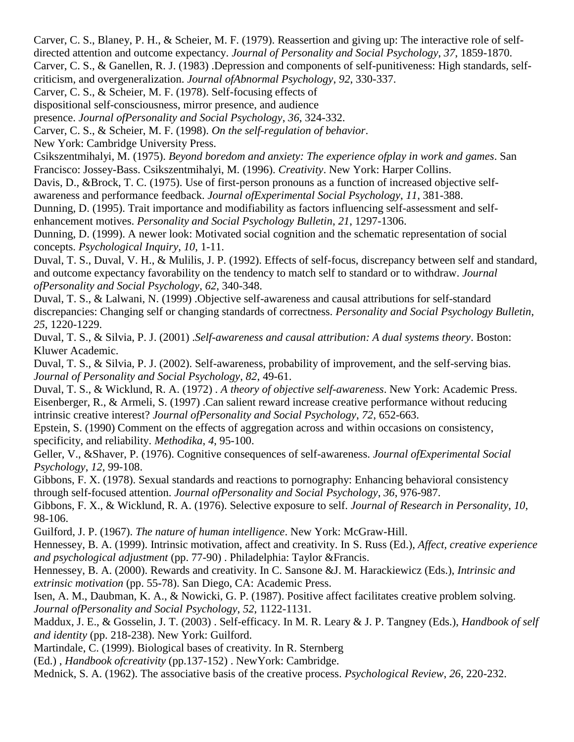Carver, C. S., Blaney, P. H., & Scheier, M. F. (1979). Reassertion and giving up: The interactive role of selfdirected attention and outcome expectancy. *Journal of Personality and Social Psychology*, *37*, 1859-1870. Carver, C. S., & Ganellen, R. J. (1983) .Depression and components of self-punitiveness: High standards, self-

criticism, and overgeneralization. *Journal ofAbnormal Psychology*, *92*, 330-337.

Carver, C. S., & Scheier, M. F. (1978). Self-focusing effects of

dispositional self-consciousness, mirror presence, and audience

presence. *Journal ofPersonality and Social Psychology*, *36*, 324-332.

Carver, C. S., & Scheier, M. F. (1998). *On the self-regulation of behavior*.

New York: Cambridge University Press.

Csikszentmihalyi, M. (1975). *Beyond boredom and anxiety: The experience ofplay in work and games*. San Francisco: Jossey-Bass. Csikszentmihalyi, M. (1996). *Creativity*. New York: Harper Collins.

Davis, D., &Brock, T. C. (1975). Use of first-person pronouns as a function of increased objective selfawareness and performance feedback. *Journal ofExperimental Social Psychology*, *11*, 381-388.

Dunning, D. (1995). Trait importance and modifiability as factors influencing self-assessment and selfenhancement motives. *Personality and Social Psychology Bulletin*, *21*, 1297-1306.

Dunning, D. (1999). A newer look: Motivated social cognition and the schematic representation of social concepts. *Psychological Inquiry*, *10*, 1-11.

Duval, T. S., Duval, V. H., & Mulilis, J. P. (1992). Effects of self-focus, discrepancy between self and standard, and outcome expectancy favorability on the tendency to match self to standard or to withdraw. *Journal ofPersonality and Social Psychology*, *62*, 340-348.

Duval, T. S., & Lalwani, N. (1999) .Objective self-awareness and causal attributions for self-standard discrepancies: Changing self or changing standards of correctness. *Personality and Social Psychology Bulletin*, *25*, 1220-1229.

Duval, T. S., & Silvia, P. J. (2001) .*Self-awareness and causal attribution: A dual systems theory*. Boston: Kluwer Academic.

Duval, T. S., & Silvia, P. J. (2002). Self-awareness, probability of improvement, and the self-serving bias. *Journal of Personality and Social Psychology*, *82*, 49-61.

Duval, T. S., & Wicklund, R. A. (1972) . *A theory of objective self-awareness*. New York: Academic Press. Eisenberger, R., & Armeli, S. (1997) .Can salient reward increase creative performance without reducing intrinsic creative interest? *Journal ofPersonality and Social Psychology*, *72*, 652-663.

Epstein, S. (1990) Comment on the effects of aggregation across and within occasions on consistency, specificity, and reliability. *Methodika*, *4*, 95-100.

Geller, V., &Shaver, P. (1976). Cognitive consequences of self-awareness. *Journal ofExperimental Social Psychology*, *12*, 99-108.

Gibbons, F. X. (1978). Sexual standards and reactions to pornography: Enhancing behavioral consistency through self-focused attention. *Journal ofPersonality and Social Psychology*, *36*, 976-987.

Gibbons, F. X., & Wicklund, R. A. (1976). Selective exposure to self. *Journal of Research in Personality*, *10*, 98-106.

Guilford, J. P. (1967). *The nature of human intelligence*. New York: McGraw-Hill.

Hennessey, B. A. (1999). Intrinsic motivation, affect and creativity. In S. Russ (Ed.), *Affect, creative experience and psychological adjustment* (pp. 77-90) . Philadelphia: Taylor &Francis.

Hennessey, B. A. (2000). Rewards and creativity. In C. Sansone &J. M. Harackiewicz (Eds.), *Intrinsic and extrinsic motivation* (pp. 55-78). San Diego, CA: Academic Press.

Isen, A. M., Daubman, K. A., & Nowicki, G. P. (1987). Positive affect facilitates creative problem solving. *Journal ofPersonality and Social Psychology*, *52*, 1122-1131.

Maddux, J. E., & Gosselin, J. T. (2003) . Self-efficacy. In M. R. Leary & J. P. Tangney (Eds.), *Handbook of self and identity* (pp. 218-238). New York: Guilford.

Martindale, C. (1999). Biological bases of creativity. In R. Sternberg

(Ed.) , *Handbook ofcreativity* (pp.137-152) . NewYork: Cambridge.

Mednick, S. A. (1962). The associative basis of the creative process. *Psychological Review*, *26*, 220-232.